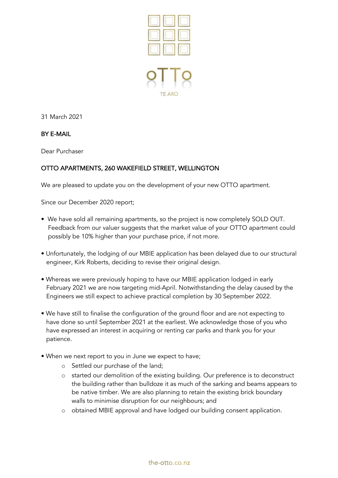

31 March 2021

## BY E-MAIL

Dear Purchaser

## OTTO APARTMENTS, 260 WAKEFIELD STREET, WELLINGTON

We are pleased to update you on the development of your new OTTO apartment.

Since our December 2020 report;

- We have sold all remaining apartments, so the project is now completely SOLD OUT. Feedback from our valuer suggests that the market value of your OTTO apartment could possibly be 10% higher than your purchase price, if not more.
- Unfortunately, the lodging of our MBIE application has been delayed due to our structural engineer, Kirk Roberts, deciding to revise their original design.
- Whereas we were previously hoping to have our MBIE application lodged in early February 2021 we are now targeting mid-April. Notwithstanding the delay caused by the Engineers we still expect to achieve practical completion by 30 September 2022.
- We have still to finalise the configuration of the ground floor and are not expecting to have done so until September 2021 at the earliest. We acknowledge those of you who have expressed an interest in acquiring or renting car parks and thank you for your patience.
- When we next report to you in June we expect to have;
	- o Settled our purchase of the land;
	- o started our demolition of the existing building. Our preference is to deconstruct the building rather than bulldoze it as much of the sarking and beams appears to be native timber. We are also planning to retain the existing brick boundary walls to minimise disruption for our neighbours; and
	- o obtained MBIE approval and have lodged our building consent application.